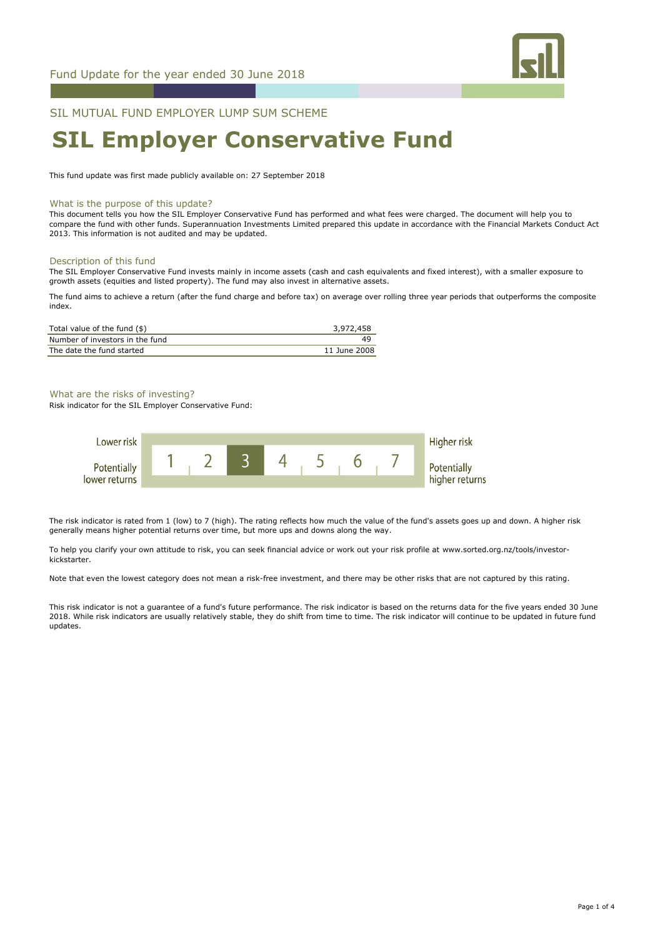

## SIL MUTUAL FUND EMPLOYER LUMP SUM SCHEME

# **SIL Employer Conservative Fund**

This fund update was first made publicly available on: 27 September 2018

#### What is the purpose of this update?

This document tells you how the SIL Employer Conservative Fund has performed and what fees were charged. The document will help you to compare the fund with other funds. Superannuation Investments Limited prepared this update in accordance with the Financial Markets Conduct Act 2013. This information is not audited and may be updated.

#### Description of this fund

The SIL Employer Conservative Fund invests mainly in income assets (cash and cash equivalents and fixed interest), with a smaller exposure to growth assets (equities and listed property). The fund may also invest in alternative assets.

The fund aims to achieve a return (after the fund charge and before tax) on average over rolling three year periods that outperforms the composite index.

| Total value of the fund (\$)    | 3,972,458    |
|---------------------------------|--------------|
| Number of investors in the fund | 49           |
| The date the fund started       | 11 June 2008 |

What are the risks of investing?

Risk indicator for the SIL Employer Conservative Fund:



The risk indicator is rated from 1 (low) to 7 (high). The rating reflects how much the value of the fund's assets goes up and down. A higher risk generally means higher potential returns over time, but more ups and downs along the way.

To help you clarify your own attitude to risk, you can seek financial advice or work out your risk profile at www.sorted.org.nz/tools/investorkickstarter.

Note that even the lowest category does not mean a risk-free investment, and there may be other risks that are not captured by this rating.

This risk indicator is not a guarantee of a fund's future performance. The risk indicator is based on the returns data for the five years ended 30 June 2018. While risk indicators are usually relatively stable, they do shift from time to time. The risk indicator will continue to be updated in future fund updates.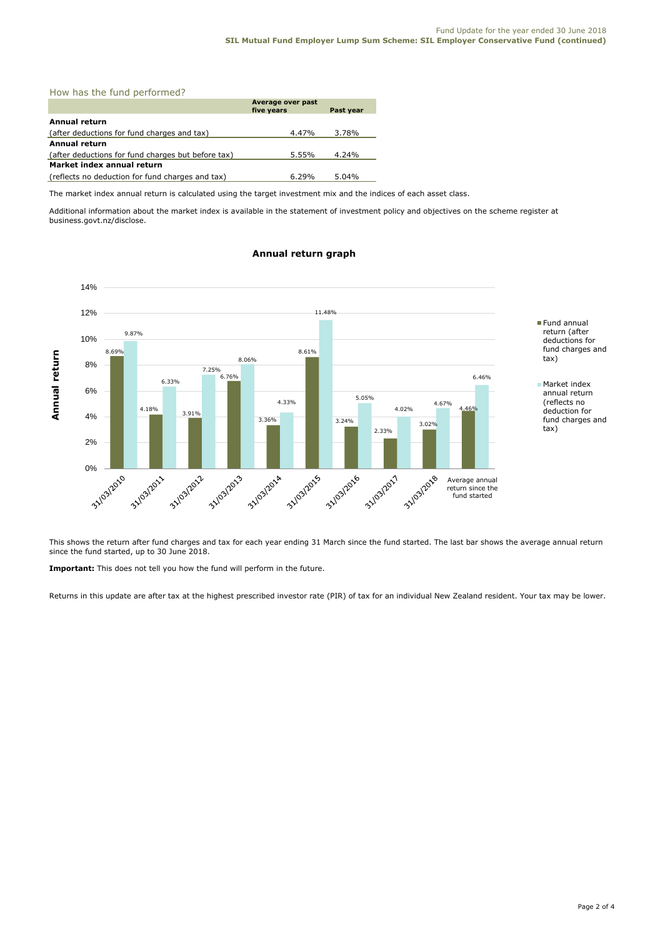### How has the fund performed?

|                                                    | Average over past<br>five years | Past year |
|----------------------------------------------------|---------------------------------|-----------|
| <b>Annual return</b>                               |                                 |           |
| (after deductions for fund charges and tax)        | 4.47%                           | 3.78%     |
| <b>Annual return</b>                               |                                 |           |
| (after deductions for fund charges but before tax) | 5.55%                           | 4.24%     |
| Market index annual return                         |                                 |           |
| (reflects no deduction for fund charges and tax)   | $6.29\%$                        | $5.04\%$  |

The market index annual return is calculated using the target investment mix and the indices of each asset class.

Additional information about the market index is available in the statement of investment policy and objectives on the scheme register at business.govt.nz/disclose.

#### 14% 12% 11.48% Fund annual return (after 9.87% 10% deductions for fund charges and 8.69% 8.61% Annual return **Annual return** tax) 8.06% 8% 7.25%  $6.76%$ 6.46% 6.33% ■ Market index 6% annual return 5.05% 4.33% 4.67% (reflects no 4.18% 4.02% 4.46% 3.91% deduction for 4% fund charges and 3.36% 3.24% 3.02% tax) 2.33% 2% 31/03/2016 31/03/2011 31/03/2012 31/03/2013 31/03/2014 31/03/2015 0% -31/03/2017 31/03/2018 Average annual Average annual return since the return since the fund started fund started

#### **Annual return graph**

This shows the return after fund charges and tax for each year ending 31 March since the fund started. The last bar shows the average annual return since the fund started, up to 30 June 2018.

**Important:** This does not tell you how the fund will perform in the future.

Returns in this update are after tax at the highest prescribed investor rate (PIR) of tax for an individual New Zealand resident. Your tax may be lower.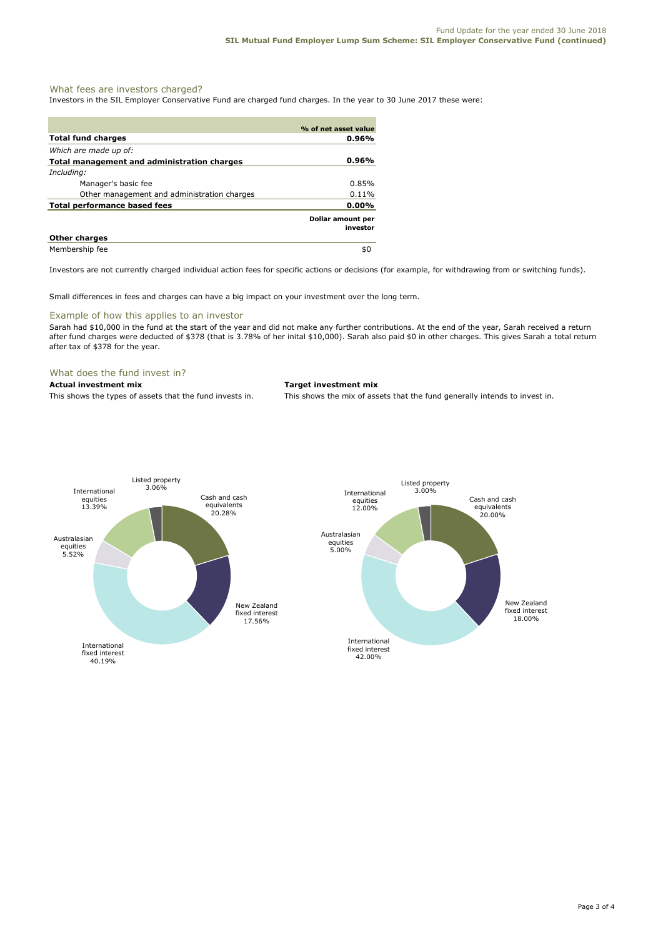#### What fees are investors charged?

Investors in the SIL Employer Conservative Fund are charged fund charges. In the year to 30 June 2017 these were:

|                                             | % of net asset value          |
|---------------------------------------------|-------------------------------|
| <b>Total fund charges</b>                   | 0.96%                         |
| Which are made up of:                       |                               |
| Total management and administration charges | 0.96%                         |
| Including:                                  |                               |
| Manager's basic fee                         | $0.85\%$                      |
| Other management and administration charges | $0.11\%$                      |
| <b>Total performance based fees</b>         | $0.00\%$                      |
|                                             | Dollar amount per<br>investor |
| <b>Other charges</b>                        |                               |
| Membership fee                              | \$0                           |

Investors are not currently charged individual action fees for specific actions or decisions (for example, for withdrawing from or switching funds).

Small differences in fees and charges can have a big impact on your investment over the long term.

#### Example of how this applies to an investor

Sarah had \$10,000 in the fund at the start of the year and did not make any further contributions. At the end of the year, Sarah received a return after fund charges were deducted of \$378 (that is 3.78% of her inital \$10,000). Sarah also paid \$0 in other charges. This gives Sarah a total return after tax of \$378 for the year.

#### What does the fund invest in?

#### **Actual investment mix Target investment mix**

This shows the types of assets that the fund invests in. This shows the mix of assets that the fund generally intends to invest in.